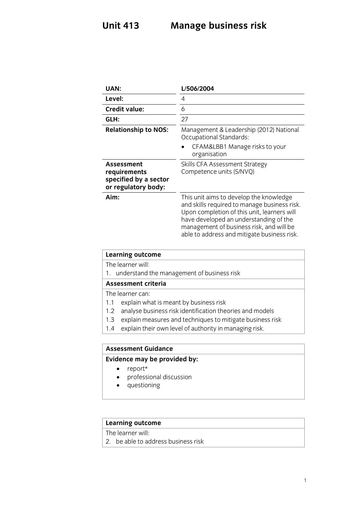## **Unit 413 Manage business risk**

| UAN:                                                                              | L/506/2004                                                                                                                                                                                                                                                                  |
|-----------------------------------------------------------------------------------|-----------------------------------------------------------------------------------------------------------------------------------------------------------------------------------------------------------------------------------------------------------------------------|
| Level:                                                                            | 4                                                                                                                                                                                                                                                                           |
| <b>Credit value:</b>                                                              | 6                                                                                                                                                                                                                                                                           |
| GLH:                                                                              | 27                                                                                                                                                                                                                                                                          |
| <b>Relationship to NOS:</b>                                                       | Management & Leadership (2012) National<br><b>Occupational Standards:</b>                                                                                                                                                                                                   |
|                                                                                   | CFAM&LBB1 Manage risks to your<br>organisation                                                                                                                                                                                                                              |
| <b>Assessment</b><br>requirements<br>specified by a sector<br>or regulatory body: | Skills CFA Assessment Strategy<br>Competence units (S/NVQ)                                                                                                                                                                                                                  |
| Aim:                                                                              | This unit aims to develop the knowledge<br>and skills required to manage business risk.<br>Upon completion of this unit, learners will<br>have developed an understanding of the<br>management of business risk, and will be<br>able to address and mitigate business risk. |

| <b>Learning outcome</b>                                          |  |
|------------------------------------------------------------------|--|
| The learner will:                                                |  |
| 1. understand the management of business risk                    |  |
| <b>Assessment criteria</b>                                       |  |
| The learner can:                                                 |  |
| explain what is meant by business risk<br>1.1                    |  |
| analyse business risk identification theories and models<br>1.2  |  |
| explain measures and techniques to mitigate business risk<br>1.3 |  |
| explain their own level of authority in managing risk.<br>1.4    |  |
|                                                                  |  |

### **Assessment Guidance**

## **Evidence may be provided by:**

- report\*
- professional discussion
- questioning

# **Learning outcome**<br>The learner will:

 $\overline{2}$  he she to set 2. be able to address business risk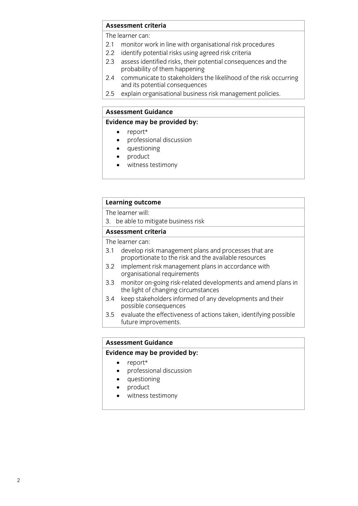#### **Assessment criteria**

The learner can:

- 2.1 monitor work in line with organisational risk procedures
- 2.2 identify potential risks using agreed risk criteria
- 2.3 assess identified risks, their potential consequences and the probability of them happening
- communicate to stakeholders the likelihood of the risk occurring  $2.4$ and its potential consequences
- $2.5$ explain organisational business risk management policies.  $\frac{1}{2}$  business risk management policies.

#### **Assessment Guidance**

#### **Evidence may be provided by:**

- 
- **Evidence** may be proport that the manufacture of the proport of the proport of the proport of the proport of the proport of the proport of the proport of the proport of the proport of the proport of the proport of the pro professional discussion
	- questioning
	- product
	- witness testimony

#### **Learning outcome**

The learner will:

3. be able to mitigate business risk

#### Assessment criteria

The learner can:

- 3.1 develop risk management plans and processes that are proportionate to the risk and the available resources
- implement risk management plans in accordance with  $3.2$ organisational requirements
- monitor on-going risk-related developments and amend plans in  $3.3$ the light of changing circumstances
- keep stakeholders informed of any developments and their 3.4 keep stakeholders informed and the possible consequences
- evaluate the effectiveness of actions taken, identifying possible  $3.5$  $\frac{1}{2}$  future improvements future improvements.

#### **Assessment Guidance**

#### **Assessment Guidance Evidence may be provided by:**

- report\*
- professional discussion
- questioning
- product<br>• witness
- witness testimony